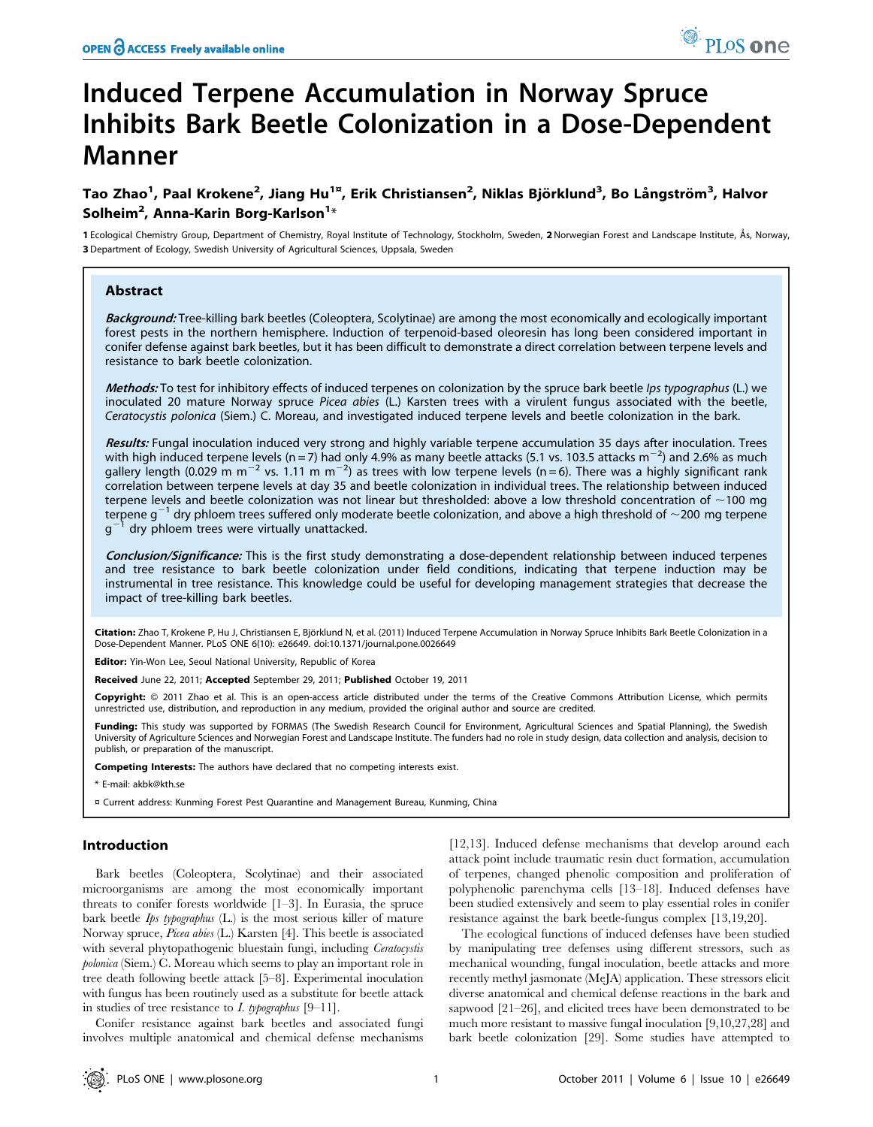# Induced Terpene Accumulation in Norway Spruce Inhibits Bark Beetle Colonization in a Dose-Dependent Manner

# Tao Zhao<sup>1</sup>, Paal Krokene<sup>2</sup>, Jiang Hu<sup>1¤</sup>, Erik Christiansen<sup>2</sup>, Niklas Björklund<sup>3</sup>, Bo Långström<sup>3</sup>, Halvor Solheim $^2$ , Anna-Karin Borg-Karlson $^1\ast$

1 Ecological Chemistry Group, Department of Chemistry, Royal Institute of Technology, Stockholm, Sweden, 2 Norwegian Forest and Landscape Institute, Ås, Norway, 3 Department of Ecology, Swedish University of Agricultural Sciences, Uppsala, Sweden

# Abstract

Background: Tree-killing bark beetles (Coleoptera, Scolytinae) are among the most economically and ecologically important forest pests in the northern hemisphere. Induction of terpenoid-based oleoresin has long been considered important in conifer defense against bark beetles, but it has been difficult to demonstrate a direct correlation between terpene levels and resistance to bark beetle colonization.

Methods: To test for inhibitory effects of induced terpenes on colonization by the spruce bark beetle Ips typographus (L.) we inoculated 20 mature Norway spruce Picea abies (L.) Karsten trees with a virulent fungus associated with the beetle, Ceratocystis polonica (Siem.) C. Moreau, and investigated induced terpene levels and beetle colonization in the bark.

Results: Fungal inoculation induced very strong and highly variable terpene accumulation 35 days after inoculation. Trees with high induced terpene levels (n = 7) had only 4.9% as many beetle attacks (5.1 vs. 103.5 attacks m<sup>-2</sup>) and 2.6% as much gallery length (0.029 m m<sup>-2</sup> vs. 1.11 m m<sup>-2</sup>) as trees with low terpene levels (n = 6). There was a highly significant rank correlation between terpene levels at day 35 and beetle colonization in individual trees. The relationship between induced terpene levels and beetle colonization was not linear but thresholded: above a low threshold concentration of  $\sim$ 100 mg terpene g<sup>-1</sup> dry phloem trees suffered only moderate beetle colonization, and above a high threshold of  $\sim$ 200 mg terpene  $g^{-1}$  dry phloem trees were virtually unattacked.

Conclusion/Significance: This is the first study demonstrating a dose-dependent relationship between induced terpenes and tree resistance to bark beetle colonization under field conditions, indicating that terpene induction may be instrumental in tree resistance. This knowledge could be useful for developing management strategies that decrease the impact of tree-killing bark beetles.

Citation: Zhao T, Krokene P, Hu J, Christiansen E, Björklund N, et al. (2011) Induced Terpene Accumulation in Norway Spruce Inhibits Bark Beetle Colonization in a Dose-Dependent Manner. PLoS ONE 6(10): e26649. doi:10.1371/journal.pone.0026649

Editor: Yin-Won Lee, Seoul National University, Republic of Korea

Received June 22, 2011; Accepted September 29, 2011; Published October 19, 2011

Copyright: © 2011 Zhao et al. This is an open-access article distributed under the terms of the Creative Commons Attribution License, which permits unrestricted use, distribution, and reproduction in any medium, provided the original author and source are credited.

Funding: This study was supported by FORMAS (The Swedish Research Council for Environment, Agricultural Sciences and Spatial Planning), the Swedish University of Agriculture Sciences and Norwegian Forest and Landscape Institute. The funders had no role in study design, data collection and analysis, decision to publish, or preparation of the manuscript.

Competing Interests: The authors have declared that no competing interests exist.

\* E-mail: akbk@kth.se

¤ Current address: Kunming Forest Pest Quarantine and Management Bureau, Kunming, China

# Introduction

Bark beetles (Coleoptera, Scolytinae) and their associated microorganisms are among the most economically important threats to conifer forests worldwide [1–3]. In Eurasia, the spruce bark beetle  $I_{ps}$  typographus  $(L)$  is the most serious killer of mature Norway spruce, Picea abies (L.) Karsten [4]. This beetle is associated with several phytopathogenic bluestain fungi, including *Ceratocystis* polonica (Siem.) C. Moreau which seems to play an important role in tree death following beetle attack [5–8]. Experimental inoculation with fungus has been routinely used as a substitute for beetle attack in studies of tree resistance to  $I.$  typographus [9–11].

Conifer resistance against bark beetles and associated fungi involves multiple anatomical and chemical defense mechanisms

[12,13]. Induced defense mechanisms that develop around each attack point include traumatic resin duct formation, accumulation of terpenes, changed phenolic composition and proliferation of polyphenolic parenchyma cells [13–18]. Induced defenses have been studied extensively and seem to play essential roles in conifer resistance against the bark beetle-fungus complex [13,19,20].

The ecological functions of induced defenses have been studied by manipulating tree defenses using different stressors, such as mechanical wounding, fungal inoculation, beetle attacks and more recently methyl jasmonate (MeJA) application. These stressors elicit diverse anatomical and chemical defense reactions in the bark and sapwood [21–26], and elicited trees have been demonstrated to be much more resistant to massive fungal inoculation [9,10,27,28] and bark beetle colonization [29]. Some studies have attempted to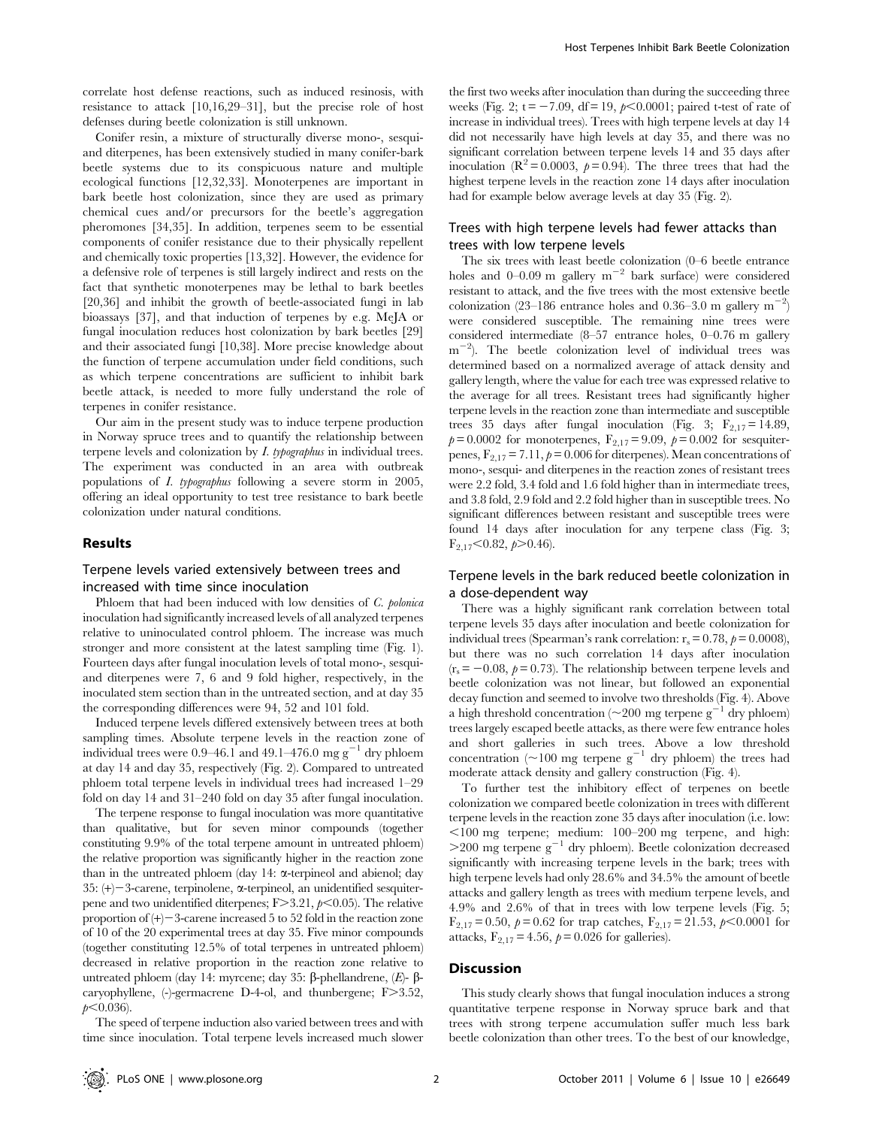correlate host defense reactions, such as induced resinosis, with resistance to attack [10,16,29–31], but the precise role of host defenses during beetle colonization is still unknown.

Conifer resin, a mixture of structurally diverse mono-, sesquiand diterpenes, has been extensively studied in many conifer-bark beetle systems due to its conspicuous nature and multiple ecological functions [12,32,33]. Monoterpenes are important in bark beetle host colonization, since they are used as primary chemical cues and/or precursors for the beetle's aggregation pheromones [34,35]. In addition, terpenes seem to be essential components of conifer resistance due to their physically repellent and chemically toxic properties [13,32]. However, the evidence for a defensive role of terpenes is still largely indirect and rests on the fact that synthetic monoterpenes may be lethal to bark beetles [20,36] and inhibit the growth of beetle-associated fungi in lab bioassays [37], and that induction of terpenes by e.g. MeJA or fungal inoculation reduces host colonization by bark beetles [29] and their associated fungi [10,38]. More precise knowledge about the function of terpene accumulation under field conditions, such as which terpene concentrations are sufficient to inhibit bark beetle attack, is needed to more fully understand the role of terpenes in conifer resistance.

Our aim in the present study was to induce terpene production in Norway spruce trees and to quantify the relationship between terpene levels and colonization by I. typographus in individual trees. The experiment was conducted in an area with outbreak populations of I. typographus following a severe storm in 2005, offering an ideal opportunity to test tree resistance to bark beetle colonization under natural conditions.

#### Results

# Terpene levels varied extensively between trees and increased with time since inoculation

Phloem that had been induced with low densities of C. polonica inoculation had significantly increased levels of all analyzed terpenes relative to uninoculated control phloem. The increase was much stronger and more consistent at the latest sampling time (Fig. 1). Fourteen days after fungal inoculation levels of total mono-, sesquiand diterpenes were 7, 6 and 9 fold higher, respectively, in the inoculated stem section than in the untreated section, and at day 35 the corresponding differences were 94, 52 and 101 fold.

Induced terpene levels differed extensively between trees at both sampling times. Absolute terpene levels in the reaction zone of individual trees were  $0.9-46.1$  and  $49.1-476.0$  mg  $g^{-1}$  dry phloem at day 14 and day 35, respectively (Fig. 2). Compared to untreated phloem total terpene levels in individual trees had increased 1–29 fold on day 14 and 31–240 fold on day 35 after fungal inoculation.

The terpene response to fungal inoculation was more quantitative than qualitative, but for seven minor compounds (together constituting 9.9% of the total terpene amount in untreated phloem) the relative proportion was significantly higher in the reaction zone than in the untreated phloem (day  $14$ :  $\alpha$ -terpineol and abienol; day 35:  $(+)$  – 3-carene, terpinolene,  $\alpha$ -terpineol, an unidentified sesquiterpene and two unidentified diterpenes;  $F > 3.21$ ,  $p < 0.05$ ). The relative proportion of  $(+)$  – 3-carene increased 5 to 52 fold in the reaction zone of 10 of the 20 experimental trees at day 35. Five minor compounds (together constituting 12.5% of total terpenes in untreated phloem) decreased in relative proportion in the reaction zone relative to untreated phloem (day 14: myrcene; day 35:  $\beta$ -phellandrene,  $(E)$ - $\beta$ caryophyllene,  $(-)$ -germacrene D-4-ol, and thunbergene; F $>3.52$ ,  $p<0.036$ ).

The speed of terpene induction also varied between trees and with time since inoculation. Total terpene levels increased much slower

the first two weeks after inoculation than during the succeeding three weeks (Fig. 2;  $t = -7.09$ , df = 19,  $p \le 0.0001$ ; paired t-test of rate of increase in individual trees). Trees with high terpene levels at day 14 did not necessarily have high levels at day 35, and there was no significant correlation between terpene levels 14 and 35 days after inoculation ( $\mathbb{R}^2$  = 0.0003,  $p$  = 0.94). The three trees that had the highest terpene levels in the reaction zone 14 days after inoculation had for example below average levels at day 35 (Fig. 2).

# Trees with high terpene levels had fewer attacks than trees with low terpene levels

The six trees with least beetle colonization (0–6 beetle entrance holes and 0–0.09 m gallery  $m^{-2}$  bark surface) were considered resistant to attack, and the five trees with the most extensive beetle colonization (23–186 entrance holes and 0.36–3.0 m gallery  $m^{-2}$ ) were considered susceptible. The remaining nine trees were considered intermediate (8–57 entrance holes, 0–0.76 m gallery  $m^{-2}$ ). The beetle colonization level of individual trees was determined based on a normalized average of attack density and gallery length, where the value for each tree was expressed relative to the average for all trees. Resistant trees had significantly higher terpene levels in the reaction zone than intermediate and susceptible trees 35 days after fungal inoculation (Fig. 3;  $F_{2,17} = 14.89$ ,  $p= 0.0002$  for monoterpenes,  $F_{2,17} = 9.09$ ,  $p= 0.002$  for sesquiterpenes,  $F_{2,17} = 7.11$ ,  $p = 0.006$  for diterpenes). Mean concentrations of mono-, sesqui- and diterpenes in the reaction zones of resistant trees were 2.2 fold, 3.4 fold and 1.6 fold higher than in intermediate trees, and 3.8 fold, 2.9 fold and 2.2 fold higher than in susceptible trees. No significant differences between resistant and susceptible trees were found 14 days after inoculation for any terpene class (Fig. 3;  $F_{2,17}$ <0.82,  $p$ >0.46).

# Terpene levels in the bark reduced beetle colonization in a dose-dependent way

There was a highly significant rank correlation between total terpene levels 35 days after inoculation and beetle colonization for individual trees (Spearman's rank correlation:  $r_s = 0.78$ ,  $p = 0.0008$ ), but there was no such correlation 14 days after inoculation  $(r_s = -0.08, p= 0.73)$ . The relationship between terpene levels and beetle colonization was not linear, but followed an exponential decay function and seemed to involve two thresholds (Fig. 4). Above a high threshold concentration ( $\sim$ 200 mg terpene g<sup>-1</sup> dry phloem) trees largely escaped beetle attacks, as there were few entrance holes and short galleries in such trees. Above a low threshold concentration ( $\sim$ 100 mg terpene g<sup>-1</sup> dry phloem) the trees had moderate attack density and gallery construction (Fig. 4).

To further test the inhibitory effect of terpenes on beetle colonization we compared beetle colonization in trees with different terpene levels in the reaction zone 35 days after inoculation (i.e. low:  $\leq$ 100 mg terpene; medium: 100–200 mg terpene, and high:  $>$ 200 mg terpene g<sup>-1</sup> dry phloem). Beetle colonization decreased significantly with increasing terpene levels in the bark; trees with high terpene levels had only 28.6% and 34.5% the amount of beetle attacks and gallery length as trees with medium terpene levels, and 4.9% and 2.6% of that in trees with low terpene levels (Fig. 5;  $F_{2,17} = 0.50$ ,  $p = 0.62$  for trap catches,  $F_{2,17} = 21.53$ ,  $p < 0.0001$  for attacks,  $F_{2,17} = 4.56$ ,  $p = 0.026$  for galleries).

#### **Discussion**

This study clearly shows that fungal inoculation induces a strong quantitative terpene response in Norway spruce bark and that trees with strong terpene accumulation suffer much less bark beetle colonization than other trees. To the best of our knowledge,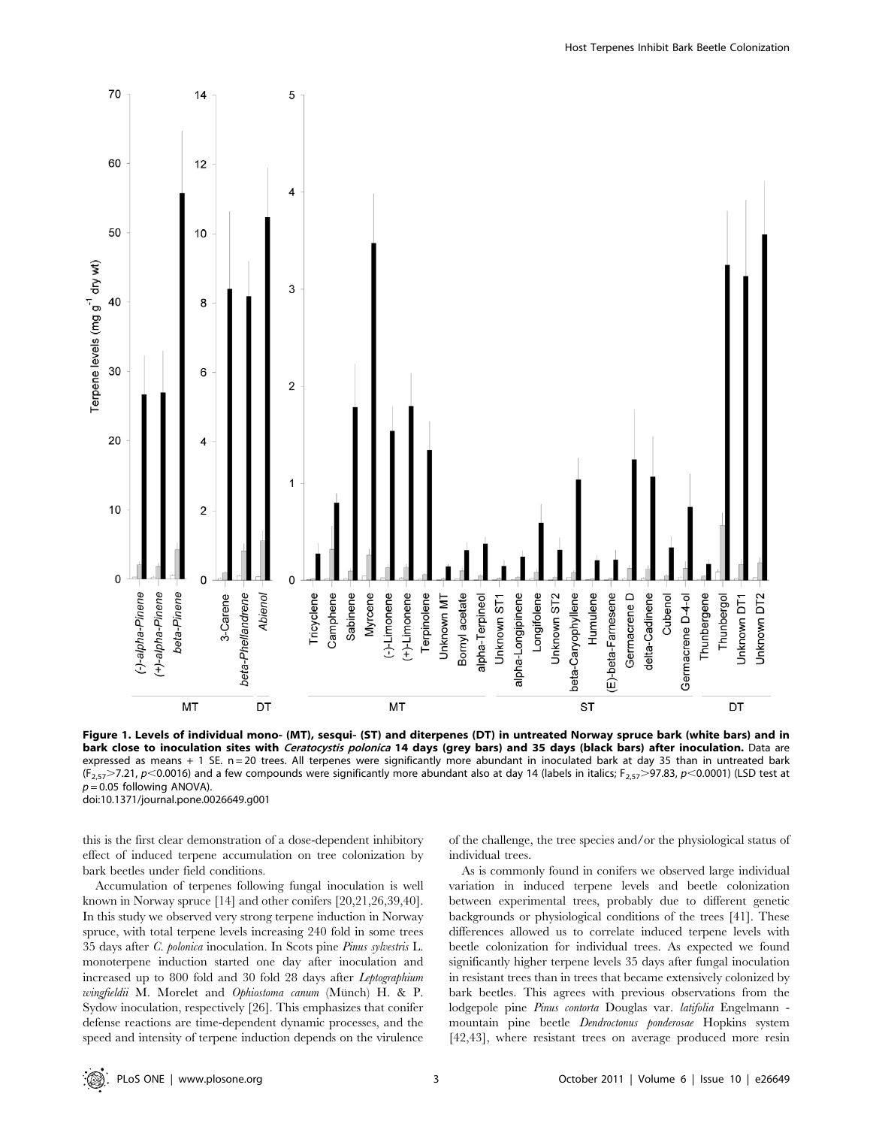

Figure 1. Levels of individual mono- (MT), sesqui- (ST) and diterpenes (DT) in untreated Norway spruce bark (white bars) and in bark close to inoculation sites with Ceratocystis polonica 14 days (grey bars) and 35 days (black bars) after inoculation. Data are expressed as means + 1 SE. n = 20 trees. All terpenes were significantly more abundant in inoculated bark at day 35 than in untreated bark  $(F_{2,57} > 7.21, p < 0.0016)$  and a few compounds were significantly more abundant also at day 14 (labels in italics;  $F_{2,57} > 97.83, p < 0.0001$ ) (LSD test at  $p = 0.05$  following ANOVA). doi:10.1371/journal.pone.0026649.g001

this is the first clear demonstration of a dose-dependent inhibitory effect of induced terpene accumulation on tree colonization by bark beetles under field conditions.

Accumulation of terpenes following fungal inoculation is well known in Norway spruce [14] and other conifers [20,21,26,39,40]. In this study we observed very strong terpene induction in Norway spruce, with total terpene levels increasing 240 fold in some trees 35 days after C. polonica inoculation. In Scots pine Pinus sylvestris L. monoterpene induction started one day after inoculation and increased up to 800 fold and 30 fold 28 days after Leptographium wingfieldii M. Morelet and Ophiostoma canum (Münch) H. & P. Sydow inoculation, respectively [26]. This emphasizes that conifer defense reactions are time-dependent dynamic processes, and the speed and intensity of terpene induction depends on the virulence

of the challenge, the tree species and/or the physiological status of individual trees.

As is commonly found in conifers we observed large individual variation in induced terpene levels and beetle colonization between experimental trees, probably due to different genetic backgrounds or physiological conditions of the trees [41]. These differences allowed us to correlate induced terpene levels with beetle colonization for individual trees. As expected we found significantly higher terpene levels 35 days after fungal inoculation in resistant trees than in trees that became extensively colonized by bark beetles. This agrees with previous observations from the lodgepole pine Pinus contorta Douglas var. latifolia Engelmann mountain pine beetle Dendroctonus ponderosae Hopkins system [42,43], where resistant trees on average produced more resin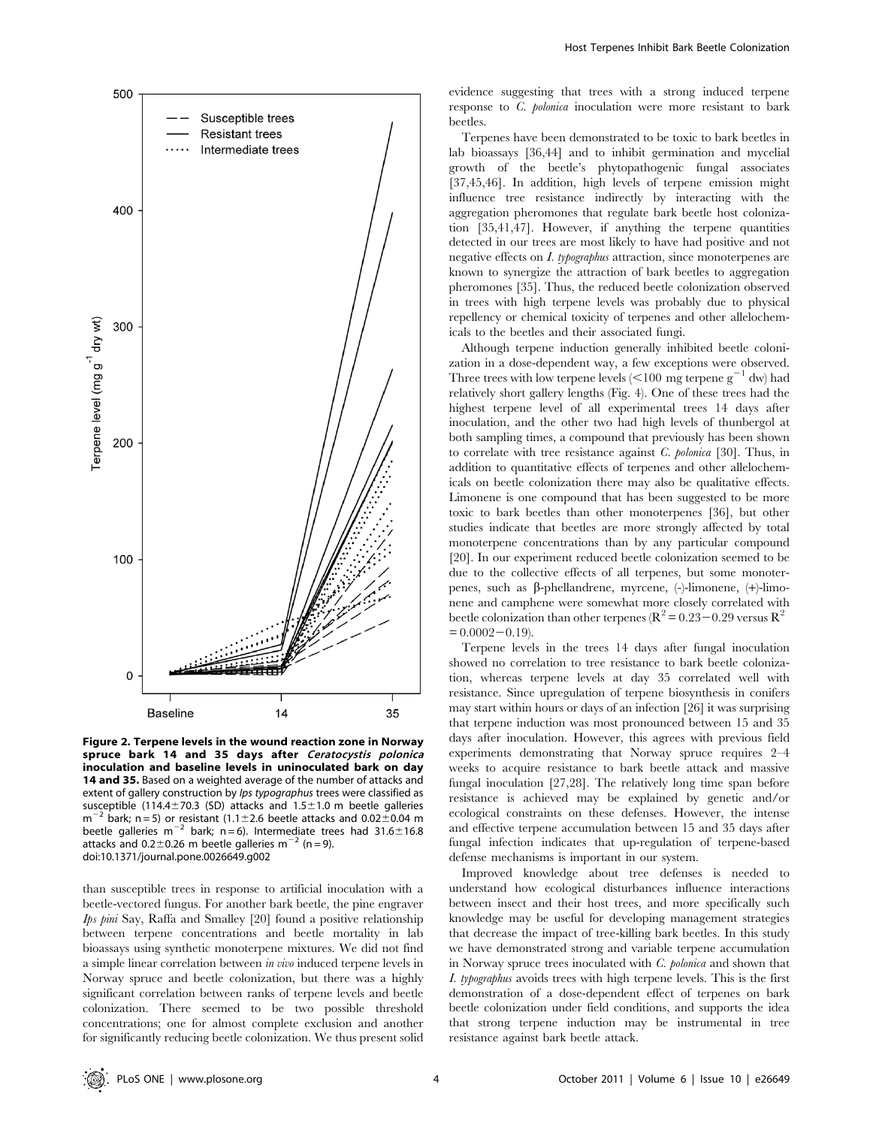

Figure 2. Terpene levels in the wound reaction zone in Norway spruce bark 14 and 35 days after Ceratocystis polonica inoculation and baseline levels in uninoculated bark on day 14 and 35. Based on a weighted average of the number of attacks and extent of gallery construction by Ips typographus trees were classified as susceptible (114.4 $\pm$ 70.3 (SD) attacks and 1.5 $\pm$ 1.0 m beetle galleries  $m^{-2}$  bark; n = 5) or resistant (1.1±2.6 beetle attacks and 0.02±0.04 m beetle galleries m<sup>-2</sup> bark; n = 6). Intermediate trees had 31.6 $\pm$ 16.8 attacks and 0.2 $\pm$ 0.26 m beetle galleries m<sup>-2</sup> (n = 9). doi:10.1371/journal.pone.0026649.g002

than susceptible trees in response to artificial inoculation with a beetle-vectored fungus. For another bark beetle, the pine engraver Ips pini Say, Raffa and Smalley [20] found a positive relationship between terpene concentrations and beetle mortality in lab bioassays using synthetic monoterpene mixtures. We did not find a simple linear correlation between in vivo induced terpene levels in Norway spruce and beetle colonization, but there was a highly significant correlation between ranks of terpene levels and beetle colonization. There seemed to be two possible threshold concentrations; one for almost complete exclusion and another for significantly reducing beetle colonization. We thus present solid evidence suggesting that trees with a strong induced terpene response to C. polonica inoculation were more resistant to bark beetles.

Terpenes have been demonstrated to be toxic to bark beetles in lab bioassays [36,44] and to inhibit germination and mycelial growth of the beetle's phytopathogenic fungal associates [37,45,46]. In addition, high levels of terpene emission might influence tree resistance indirectly by interacting with the aggregation pheromones that regulate bark beetle host colonization [35,41,47]. However, if anything the terpene quantities detected in our trees are most likely to have had positive and not negative effects on I. typographus attraction, since monoterpenes are known to synergize the attraction of bark beetles to aggregation pheromones [35]. Thus, the reduced beetle colonization observed in trees with high terpene levels was probably due to physical repellency or chemical toxicity of terpenes and other allelochemicals to the beetles and their associated fungi.

Although terpene induction generally inhibited beetle colonization in a dose-dependent way, a few exceptions were observed. Three trees with low terpene levels  $\langle$  < 100 mg terpene g<sup>-1</sup> dw) had relatively short gallery lengths (Fig. 4). One of these trees had the highest terpene level of all experimental trees 14 days after inoculation, and the other two had high levels of thunbergol at both sampling times, a compound that previously has been shown to correlate with tree resistance against C. polonica [30]. Thus, in addition to quantitative effects of terpenes and other allelochemicals on beetle colonization there may also be qualitative effects. Limonene is one compound that has been suggested to be more toxic to bark beetles than other monoterpenes [36], but other studies indicate that beetles are more strongly affected by total monoterpene concentrations than by any particular compound [20]. In our experiment reduced beetle colonization seemed to be due to the collective effects of all terpenes, but some monoterpenes, such as b-phellandrene, myrcene, (-)-limonene, (+)-limonene and camphene were somewhat more closely correlated with beetle colonization than other terpenes ( $\mathbb{R}^2 = 0.23 - 0.29$  versus  $\mathbb{R}^2$  $= 0.0002 - 0.19$ .

Terpene levels in the trees 14 days after fungal inoculation showed no correlation to tree resistance to bark beetle colonization, whereas terpene levels at day 35 correlated well with resistance. Since upregulation of terpene biosynthesis in conifers may start within hours or days of an infection [26] it was surprising that terpene induction was most pronounced between 15 and 35 days after inoculation. However, this agrees with previous field experiments demonstrating that Norway spruce requires 2–4 weeks to acquire resistance to bark beetle attack and massive fungal inoculation [27,28]. The relatively long time span before resistance is achieved may be explained by genetic and/or ecological constraints on these defenses. However, the intense and effective terpene accumulation between 15 and 35 days after fungal infection indicates that up-regulation of terpene-based defense mechanisms is important in our system.

Improved knowledge about tree defenses is needed to understand how ecological disturbances influence interactions between insect and their host trees, and more specifically such knowledge may be useful for developing management strategies that decrease the impact of tree-killing bark beetles. In this study we have demonstrated strong and variable terpene accumulation in Norway spruce trees inoculated with C. polonica and shown that I. typographus avoids trees with high terpene levels. This is the first demonstration of a dose-dependent effect of terpenes on bark beetle colonization under field conditions, and supports the idea that strong terpene induction may be instrumental in tree resistance against bark beetle attack.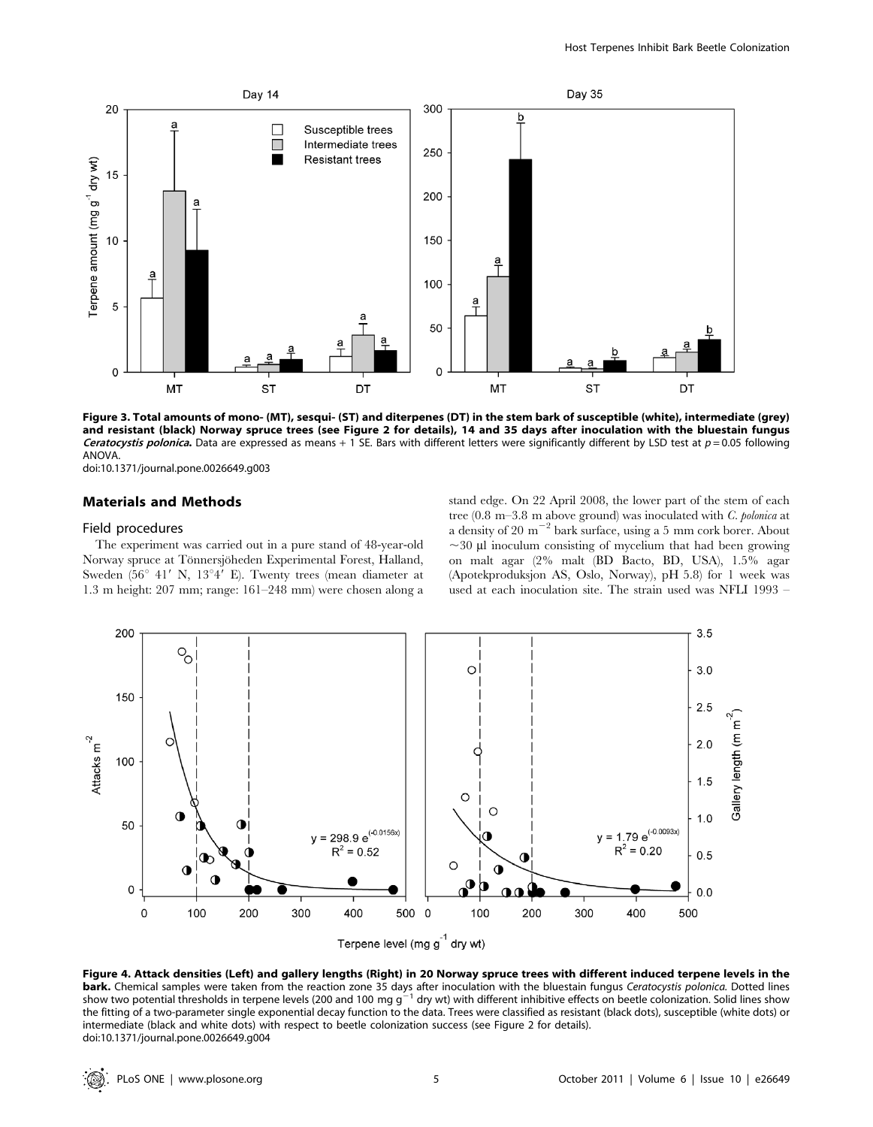

Figure 3. Total amounts of mono- (MT), sesqui- (ST) and diterpenes (DT) in the stem bark of susceptible (white), intermediate (grey) and resistant (black) Norway spruce trees (see Figure 2 for details), 14 and 35 days after inoculation with the bluestain fungus Ceratocystis polonica. Data are expressed as means + 1 SE. Bars with different letters were significantly different by LSD test at  $p = 0.05$  following ANOVA.

doi:10.1371/journal.pone.0026649.g003

# Materials and Methods

#### Field procedures

The experiment was carried out in a pure stand of 48-year-old Norway spruce at Tönnersjöheden Experimental Forest, Halland, Sweden (56 $\degree$  41' N, 13 $\degree$ 4' E). Twenty trees (mean diameter at 1.3 m height: 207 mm; range: 161–248 mm) were chosen along a stand edge. On 22 April 2008, the lower part of the stem of each tree (0.8 m–3.8 m above ground) was inoculated with C. polonica at a density of 20  $\mathrm{m}^{-2}$  bark surface, using a 5 mm cork borer. About  $\sim$ 30 µl inoculum consisting of mycelium that had been growing on malt agar (2% malt (BD Bacto, BD, USA), 1.5% agar (Apotekproduksjon AS, Oslo, Norway), pH 5.8) for 1 week was used at each inoculation site. The strain used was NFLI 1993 –



Figure 4. Attack densities (Left) and gallery lengths (Right) in 20 Norway spruce trees with different induced terpene levels in the **bark.** Chemical samples were taken from the reaction zone 35 days after inoculation with the bluestain fungus *Ceratocystis polonica*. Dotted lines<br>show two potential thresholds in terpene levels (200 and 100 mg g<sup>-1</sup> dry the fitting of a two-parameter single exponential decay function to the data. Trees were classified as resistant (black dots), susceptible (white dots) or intermediate (black and white dots) with respect to beetle colonization success (see Figure 2 for details). doi:10.1371/journal.pone.0026649.g004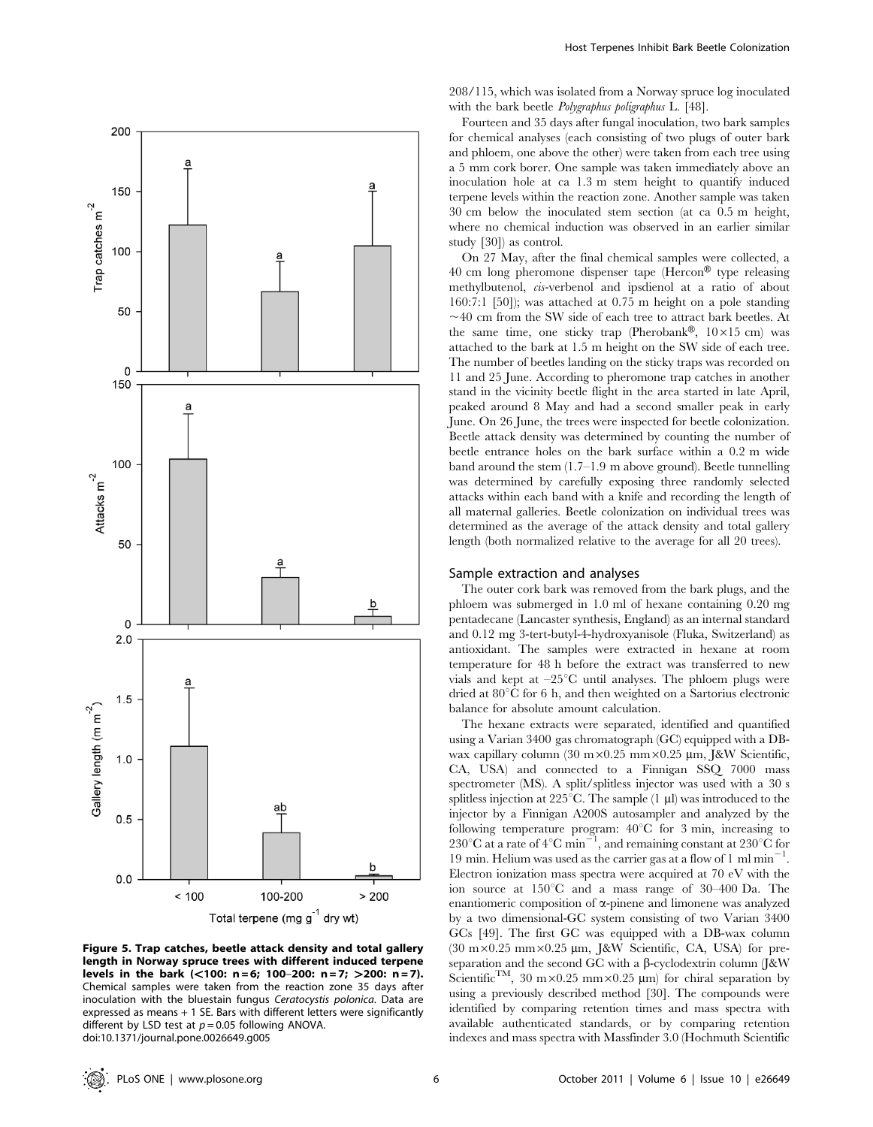

Figure 5. Trap catches, beetle attack density and total gallery length in Norway spruce trees with different induced terpene levels in the bark (<100: n = 6; 100-200: n = 7; >200: n = 7). Chemical samples were taken from the reaction zone 35 days after inoculation with the bluestain fungus Ceratocystis polonica. Data are expressed as means + 1 SE. Bars with different letters were significantly different by LSD test at  $p = 0.05$  following ANOVA. doi:10.1371/journal.pone.0026649.g005

208/115, which was isolated from a Norway spruce log inoculated with the bark beetle *Polygraphus poligraphus* L. [48].

Fourteen and 35 days after fungal inoculation, two bark samples for chemical analyses (each consisting of two plugs of outer bark and phloem, one above the other) were taken from each tree using a 5 mm cork borer. One sample was taken immediately above an inoculation hole at ca 1.3 m stem height to quantify induced terpene levels within the reaction zone. Another sample was taken 30 cm below the inoculated stem section (at ca 0.5 m height, where no chemical induction was observed in an earlier similar study [30]) as control.

On 27 May, after the final chemical samples were collected, a 40 cm long pheromone dispenser tape (Hercon® type releasing methylbutenol, cis-verbenol and ipsdienol at a ratio of about 160:7:1 [50]); was attached at 0.75 m height on a pole standing  $\sim$ 40 cm from the SW side of each tree to attract bark beetles. At the same time, one sticky trap (Pherobank®,  $10 \times 15$  cm) was attached to the bark at 1.5 m height on the SW side of each tree. The number of beetles landing on the sticky traps was recorded on 11 and 25 June. According to pheromone trap catches in another stand in the vicinity beetle flight in the area started in late April, peaked around 8 May and had a second smaller peak in early June. On 26 June, the trees were inspected for beetle colonization. Beetle attack density was determined by counting the number of beetle entrance holes on the bark surface within a 0.2 m wide band around the stem (1.7–1.9 m above ground). Beetle tunnelling was determined by carefully exposing three randomly selected attacks within each band with a knife and recording the length of all maternal galleries. Beetle colonization on individual trees was determined as the average of the attack density and total gallery length (both normalized relative to the average for all 20 trees).

#### Sample extraction and analyses

The outer cork bark was removed from the bark plugs, and the phloem was submerged in 1.0 ml of hexane containing 0.20 mg pentadecane (Lancaster synthesis, England) as an internal standard and 0.12 mg 3-tert-butyl-4-hydroxyanisole (Fluka, Switzerland) as antioxidant. The samples were extracted in hexane at room temperature for 48 h before the extract was transferred to new vials and kept at  $-25^{\circ}$ C until analyses. The phloem plugs were dried at  $80^{\circ}$ C for 6 h, and then weighted on a Sartorius electronic balance for absolute amount calculation.

The hexane extracts were separated, identified and quantified using a Varian 3400 gas chromatograph (GC) equipped with a DBwax capillary column (30 m×0.25 mm×0.25 µm, J&W Scientific, CA, USA) and connected to a Finnigan SSQ 7000 mass spectrometer (MS). A split/splitless injector was used with a 30 s splitless injection at 225 $^{\circ}$ C. The sample (1 µl) was introduced to the injector by a Finnigan A200S autosampler and analyzed by the following temperature program:  $40^{\circ}$ C for 3 min, increasing to 230°C at a rate of 4°C min<sup>-1</sup>, and remaining constant at 230°C for 19 min. Helium was used as the carrier gas at a flow of 1 ml  $\text{min}^{-1}$ . Electron ionization mass spectra were acquired at 70 eV with the ion source at  $150^{\circ}$ C and a mass range of 30–400 Da. The enantiomeric composition of  $\alpha$ -pinene and limonene was analyzed by a two dimensional-GC system consisting of two Varian 3400 GCs [49]. The first GC was equipped with a DB-wax column (30 m×0.25 mm×0.25 µm, J&W Scientific, CA, USA) for preseparation and the second GC with a  $\beta$ -cyclodextrin column (J&W Scientific<sup>TM</sup>, 30 m×0.25 mm×0.25 µm) for chiral separation by using a previously described method [30]. The compounds were identified by comparing retention times and mass spectra with available authenticated standards, or by comparing retention indexes and mass spectra with Massfinder 3.0 (Hochmuth Scientific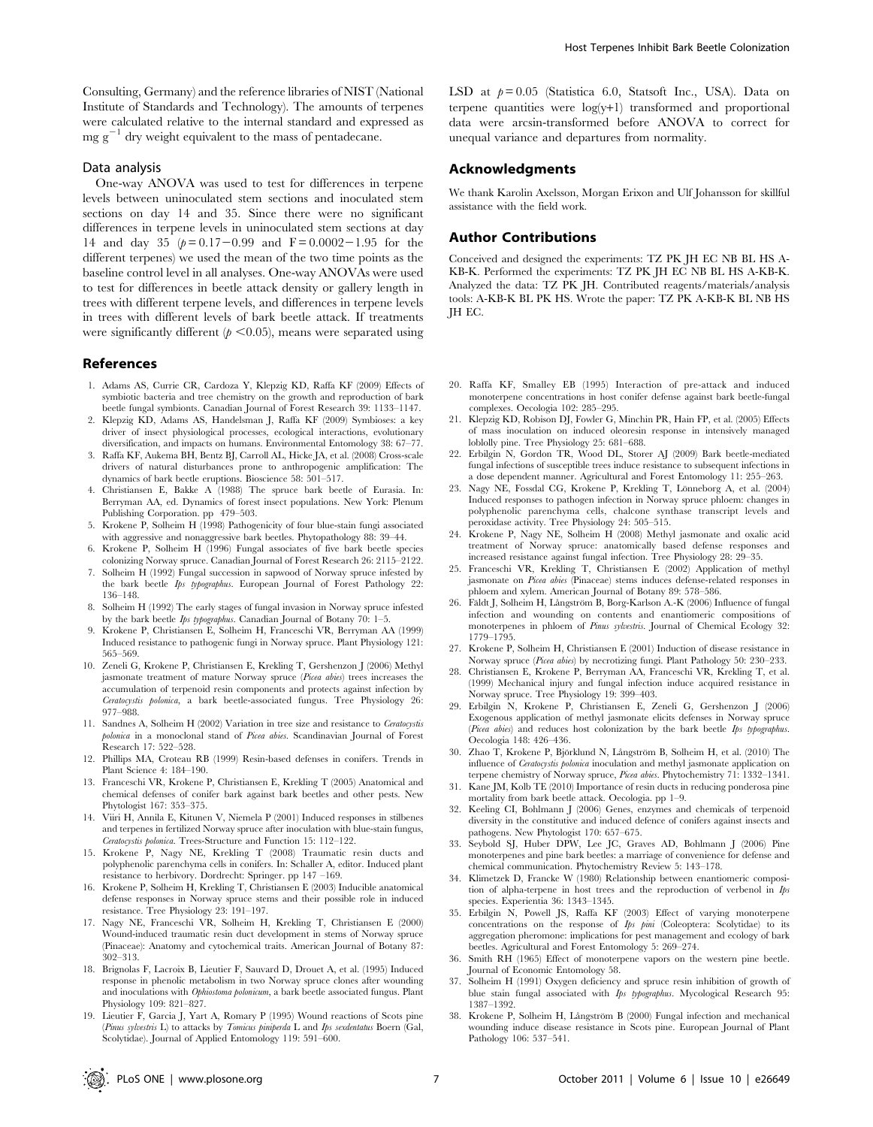Consulting, Germany) and the reference libraries of NIST (National Institute of Standards and Technology). The amounts of terpenes were calculated relative to the internal standard and expressed as  $mg g^{-1}$  dry weight equivalent to the mass of pentadecane.

#### Data analysis

One-way ANOVA was used to test for differences in terpene levels between uninoculated stem sections and inoculated stem sections on day 14 and 35. Since there were no significant differences in terpene levels in uninoculated stem sections at day 14 and day 35  $(p= 0.17-0.99)$  and  $F = 0.0002-1.95$  for the different terpenes) we used the mean of the two time points as the baseline control level in all analyses. One-way ANOVAs were used to test for differences in beetle attack density or gallery length in trees with different terpene levels, and differences in terpene levels in trees with different levels of bark beetle attack. If treatments were significantly different ( $p \le 0.05$ ), means were separated using

#### References

- 1. Adams AS, Currie CR, Cardoza Y, Klepzig KD, Raffa KF (2009) Effects of symbiotic bacteria and tree chemistry on the growth and reproduction of bark beetle fungal symbionts. Canadian Journal of Forest Research 39: 1133–1147.
- 2. Klepzig KD, Adams AS, Handelsman J, Raffa KF (2009) Symbioses: a key driver of insect physiological processes, ecological interactions, evolutionary diversification, and impacts on humans. Environmental Entomology 38: 67–77.
- 3. Raffa KF, Aukema BH, Bentz BJ, Carroll AL, Hicke JA, et al. (2008) Cross-scale drivers of natural disturbances prone to anthropogenic amplification: The dynamics of bark beetle eruptions. Bioscience 58: 501–517.
- 4. Christiansen E, Bakke A (1988) The spruce bark beetle of Eurasia. In: Berryman AA, ed. Dynamics of forest insect populations. New York: Plenum Publishing Corporation. pp 479–503.
- 5. Krokene P, Solheim H (1998) Pathogenicity of four blue-stain fungi associated with aggressive and nonaggressive bark beetles. Phytopathology 88: 39–44.
- 6. Krokene P, Solheim H (1996) Fungal associates of five bark beetle species colonizing Norway spruce. Canadian Journal of Forest Research 26: 2115–2122.
- 7. Solheim H (1992) Fungal succession in sapwood of Norway spruce infested by the bark beetle Ips typographus. European Journal of Forest Pathology 22: 136–148.
- 8. Solheim H (1992) The early stages of fungal invasion in Norway spruce infested by the bark beetle Ips typographus. Canadian Journal of Botany 70: 1–5.
- 9. Krokene P, Christiansen E, Solheim H, Franceschi VR, Berryman AA (1999) Induced resistance to pathogenic fungi in Norway spruce. Plant Physiology 121: 565–569.
- 10. Zeneli G, Krokene P, Christiansen E, Krekling T, Gershenzon J (2006) Methyl jasmonate treatment of mature Norway spruce (Picea abies) trees increases the accumulation of terpenoid resin components and protects against infection by Ceratocystis polonica, a bark beetle-associated fungus. Tree Physiology 26: 977–988.
- 11. Sandnes A, Solheim H (2002) Variation in tree size and resistance to Ceratocystis polonica in a monoclonal stand of Picea abies. Scandinavian Journal of Forest Research 17: 522–528.
- 12. Phillips MA, Croteau RB (1999) Resin-based defenses in conifers. Trends in Plant Science 4: 184–190.
- 13. Franceschi VR, Krokene P, Christiansen E, Krekling T (2005) Anatomical and chemical defenses of conifer bark against bark beetles and other pests. New Phytologist 167: 353–375.
- 14. Viiri H, Annila E, Kitunen V, Niemela P (2001) Induced responses in stilbenes and terpenes in fertilized Norway spruce after inoculation with blue-stain fungus, Ceratocystis polonica. Trees-Structure and Function 15: 112–122.
- 15. Krokene P, Nagy NE, Krekling T (2008) Traumatic resin ducts and polyphenolic parenchyma cells in conifers. In: Schaller A, editor. Induced plant resistance to herbivory. Dordrecht: Springer. pp 147 –169.
- 16. Krokene P, Solheim H, Krekling T, Christiansen E (2003) Inducible anatomical defense responses in Norway spruce stems and their possible role in induced resistance. Tree Physiology 23: 191–197.
- 17. Nagy NE, Franceschi VR, Solheim H, Krekling T, Christiansen E (2000) Wound-induced traumatic resin duct development in stems of Norway spruce (Pinaceae): Anatomy and cytochemical traits. American Journal of Botany 87: 302–313.
- 18. Brignolas F, Lacroix B, Lieutier F, Sauvard D, Drouet A, et al. (1995) Induced response in phenolic metabolism in two Norway spruce clones after wounding and inoculations with Ophiostoma polonicum, a bark beetle associated fungus. Plant Physiology 109: 821–827.
- 19. Lieutier F, Garcia J, Yart A, Romary P (1995) Wound reactions of Scots pine (Pinus sylvestris L) to attacks by Tomicus piniperda L and Ips sexdentatus Boern (Gal, Scolytidae). Journal of Applied Entomology 119: 591–600.

LSD at  $p = 0.05$  (Statistica 6.0, Statsoft Inc., USA). Data on terpene quantities were log(y+1) transformed and proportional data were arcsin-transformed before ANOVA to correct for unequal variance and departures from normality.

### Acknowledgments

We thank Karolin Axelsson, Morgan Erixon and Ulf Johansson for skillful assistance with the field work.

#### Author Contributions

Conceived and designed the experiments: TZ PK JH EC NB BL HS A-KB-K. Performed the experiments: TZ PK JH EC NB BL HS A-KB-K. Analyzed the data: TZ PK JH. Contributed reagents/materials/analysis tools: A-KB-K BL PK HS. Wrote the paper: TZ PK A-KB-K BL NB HS JH EC.

- 20. Raffa KF, Smalley EB (1995) Interaction of pre-attack and induced monoterpene concentrations in host conifer defense against bark beetle-fungal complexes. Oecologia 102: 285–295.
- 21. Klepzig KD, Robison DJ, Fowler G, Minchin PR, Hain FP, et al. (2005) Effects of mass inoculation on induced oleoresin response in intensively managed loblolly pine. Tree Physiology 25: 681–688.
- 22. Erbilgin N, Gordon TR, Wood DL, Storer AJ (2009) Bark beetle-mediated fungal infections of susceptible trees induce resistance to subsequent infections in a dose dependent manner. Agricultural and Forest Entomology 11: 255–263.
- 23. Nagy NE, Fossdal CG, Krokene P, Krekling T, Lönneborg A, et al. (2004) Induced responses to pathogen infection in Norway spruce phloem: changes in polyphenolic parenchyma cells, chalcone synthase transcript levels and peroxidase activity. Tree Physiology 24: 505–515.
- 24. Krokene P, Nagy NE, Solheim H (2008) Methyl jasmonate and oxalic acid treatment of Norway spruce: anatomically based defense responses and increased resistance against fungal infection. Tree Physiology 28: 29–35.
- 25. Franceschi VR, Krekling T, Christiansen E (2002) Application of methyl jasmonate on Picea abies (Pinaceae) stems induces defense-related responses in phloem and xylem. American Journal of Botany 89: 578–586.
- 26. Fäldt J, Solheim H, Långström B, Borg-Karlson A.-K (2006) Influence of fungal infection and wounding on contents and enantiomeric compositions of monoterpenes in phloem of Pinus sylvestris. Journal of Chemical Ecology 32: 1779–1795.
- 27. Krokene P, Solheim H, Christiansen E (2001) Induction of disease resistance in Norway spruce (Picea abies) by necrotizing fungi. Plant Pathology 50: 230–233.
- 28. Christiansen E, Krokene P, Berryman AA, Franceschi VR, Krekling T, et al. (1999) Mechanical injury and fungal infection induce acquired resistance in Norway spruce. Tree Physiology 19: 399–403.
- 29. Erbilgin N, Krokene P, Christiansen E, Zeneli G, Gershenzon J (2006) Exogenous application of methyl jasmonate elicits defenses in Norway spruce (Picea abies) and reduces host colonization by the bark beetle Ips typographus. Oecologia 148: 426–436.
- 30. Zhao T, Krokene P, Björklund N, Lånøström B, Solheim H, et al. (2010) The influence of Ceratocystis polonica inoculation and methyl jasmonate application on terpene chemistry of Norway spruce, Picea abies. Phytochemistry 71: 1332-1341.
- 31. Kane JM, Kolb TE (2010) Importance of resin ducts in reducing ponderosa pine mortality from bark beetle attack. Oecologia. pp 1–9.
- 32. Keeling CI, Bohlmann J (2006) Genes, enzymes and chemicals of terpenoid diversity in the constitutive and induced defence of conifers against insects and pathogens. New Phytologist 170: 657–675.
- 33. Seybold SJ, Huber DPW, Lee JC, Graves AD, Bohlmann J (2006) Pine monoterpenes and pine bark beetles: a marriage of convenience for defense and chemical communication. Phytochemistry Review 5: 143–178.
- 34. Klimetzek D, Francke W (1980) Relationship between enantiomeric composition of alpha-terpene in host trees and the reproduction of verbenol in  $I_{ps}$ species. Experientia 36: 1343–1345.
- 35. Erbilgin N, Powell JS, Raffa KF (2003) Effect of varying monoterpene concentrations on the response of Ips pini (Coleoptera: Scolytidae) to its aggregation pheromone: implications for pest management and ecology of bark beetles. Agricultural and Forest Entomology 5: 269–274.
- 36. Smith RH (1965) Effect of monoterpene vapors on the western pine beetle. Journal of Economic Entomology 58.
- 37. Solheim H (1991) Oxygen deficiency and spruce resin inhibition of growth of blue stain fungal associated with Ips typographus. Mycological Research 95: 1387–1392.
- 38. Krokene P, Solheim H, Långström B (2000) Fungal infection and mechanical wounding induce disease resistance in Scots pine. European Journal of Plant Pathology 106: 537–541.